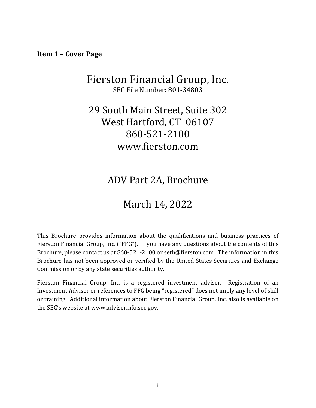<span id="page-0-0"></span>**Item 1 – Cover Page**

# Fierston Financial Group, Inc. SEC File Number: 801-34803

# 29 South Main Street, Suite 302 West Hartford, CT 06107 860-521-2100 www.fierston.com

ADV Part 2A, Brochure

# March 14, 2022

This Brochure provides information about the qualifications and business practices of Fierston Financial Group, Inc. ("FFG"). If you have any questions about the contents of this Brochure, please contact us at 860-521-2100 or seth@fierston.com. The information in this Brochure has not been approved or verified by the United States Securities and Exchange Commission or by any state securities authority.

<span id="page-0-1"></span>Fierston Financial Group, Inc. is a registered investment adviser. Registration of an Investment Adviser or references to FFG being "registered" does not imply any level of skill or training. Additional information about Fierston Financial Group, Inc. also is available on the SEC's website at [www.adviserinfo.sec.gov.](http://www.adviserinfo.sec.gov/)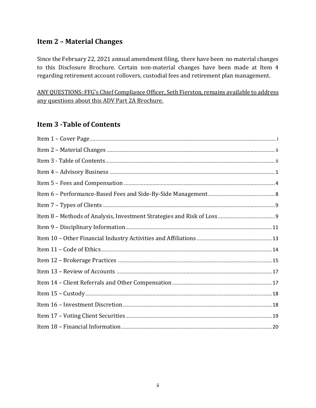## **Item 2 – Material Changes**

Since the February 22, 2021 annual amendment filing, there have been no material changes to this Disclosure Brochure. Certain non-material changes have been made at Item 4 regarding retirement account rollovers, custodial fees and retirement plan management.

<span id="page-1-0"></span>ANY QUESTIONS: FFG's Chief Compliance Officer, Seth Fierston, remains available to address any questions about this ADV Part 2A Brochure.

# **Item 3 -Table of Contents**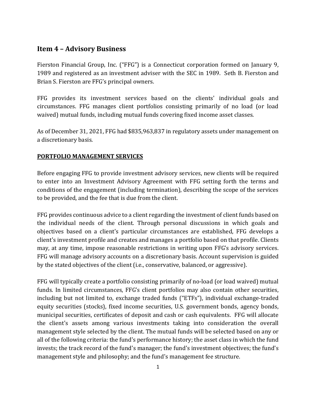## <span id="page-2-0"></span>**Item 4 – Advisory Business**

Fierston Financial Group, Inc. ("FFG") is a Connecticut corporation formed on January 9, 1989 and registered as an investment adviser with the SEC in 1989. Seth B. Fierston and Brian S. Fierston are FFG's principal owners.

FFG provides its investment services based on the clients' individual goals and circumstances. FFG manages client portfolios consisting primarily of no load (or load waived) mutual funds, including mutual funds covering fixed income asset classes.

As of December 31, 2021, FFG had \$835,963,837 in regulatory assets under management on a discretionary basis.

### **PORTFOLIO MANAGEMENT SERVICES**

Before engaging FFG to provide investment advisory services, new clients will be required to enter into an Investment Advisory Agreement with FFG setting forth the terms and conditions of the engagement (including termination), describing the scope of the services to be provided, and the fee that is due from the client.

FFG provides continuous advice to a client regarding the investment of client funds based on the individual needs of the client. Through personal discussions in which goals and objectives based on a client's particular circumstances are established, FFG develops a client's investment profile and creates and manages a portfolio based on that profile. Clients may, at any time, impose reasonable restrictions in writing upon FFG's advisory services. FFG will manage advisory accounts on a discretionary basis. Account supervision is guided by the stated objectives of the client (i.e., conservative, balanced, or aggressive).

FFG will typically create a portfolio consisting primarily of no-load (or load waived) mutual funds. In limited circumstances, FFG's client portfolios may also contain other securities, including but not limited to, exchange traded funds ("ETFs"), individual exchange-traded equity securities (stocks), fixed income securities, U.S. government bonds, agency bonds, municipal securities, certificates of deposit and cash or cash equivalents. FFG will allocate the client's assets among various investments taking into consideration the overall management style selected by the client. The mutual funds will be selected based on any or all of the following criteria: the fund's performance history; the asset class in which the fund invests; the track record of the fund's manager; the fund's investment objectives; the fund's management style and philosophy; and the fund's management fee structure.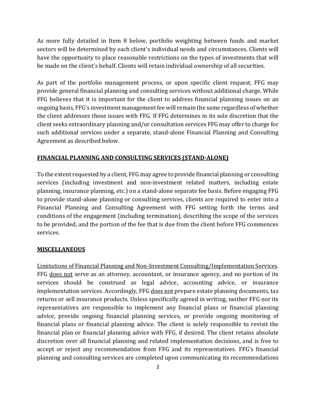As more fully detailed in Item 8 below, portfolio weighting between funds and market sectors will be determined by each client's individual needs and circumstances. Clients will have the opportunity to place reasonable restrictions on the types of investments that will be made on the client's behalf. Clients will retain individual ownership of all securities.

As part of the portfolio management process, or upon specific client request, FFG may provide general financial planning and consulting services without additional charge. While FFG believes that it is important for the client to address financial planning issues on an ongoing basis, FFG's investment management fee will remain the same regardless of whether the client addresses those issues with FFG. If FFG determines in its sole discretion that the client seeks extraordinary planning and/or consultation services FFG may offer to charge for such additional services under a separate, stand-alone Financial Planning and Consulting Agreement as described below.

## <span id="page-3-0"></span>**FINANCIAL PLANNING AND CONSULTING SERVICES (STAND-ALONE)**

To the extent requested by a client, FFG may agree to provide financial planning or consulting services (including investment and non-investment related matters, including estate planning, insurance planning, etc.) on a stand-alone separate fee basis. Before engaging FFG to provide stand-alone planning or consulting services, clients are required to enter into a Financial Planning and Consulting Agreement with FFG setting forth the terms and conditions of the engagement (including termination), describing the scope of the services to be provided, and the portion of the fee that is due from the client before FFG commences services.

### **MISCELLANEOUS**

Limitations of Financial Planning and Non-Investment Consulting/Implementation Services. FFG does not serve as an attorney, accountant, or insurance agency, and no portion of its services should be construed as legal advice, accounting advice, or insurance implementation services. Accordingly, FFG does not prepare estate planning documents, tax returns or sell insurance products. Unless specifically agreed in writing, neither FFG nor its representatives are responsible to implement any financial plans or financial planning advice, provide ongoing financial planning services, or provide ongoing monitoring of financial plans or financial planning advice. The client is solely responsible to revisit the financial plan or financial planning advice with FFG, if desired. The client retains absolute discretion over all financial planning and related implementation decisions, and is free to accept or reject any recommendation from FFG and its representatives. FFG's financial planning and consulting services are completed upon communicating its recommendations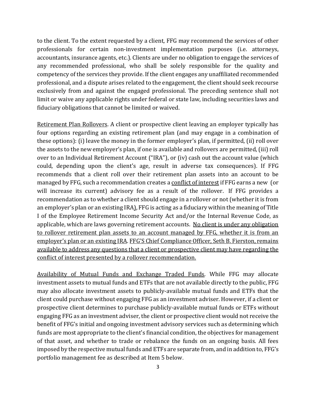to the client. To the extent requested by a client, FFG may recommend the services of other professionals for certain non-investment implementation purposes (i.e. attorneys, accountants, insurance agents, etc.). Clients are under no obligation to engage the services of any recommended professional, who shall be solely responsible for the quality and competency of the services they provide. If the client engages any unaffiliated recommended professional, and a dispute arises related to the engagement, the client should seek recourse exclusively from and against the engaged professional. The preceding sentence shall not limit or waive any applicable rights under federal or state law, including securities laws and fiduciary obligations that cannot be limited or waived.

Retirement Plan Rollovers. A client or prospective client leaving an employer typically has four options regarding an existing retirement plan (and may engage in a combination of these options): (i) leave the money in the former employer's plan, if permitted, (ii) roll over the assets to the new employer's plan, if one is available and rollovers are permitted, (iii) roll over to an Individual Retirement Account ("IRA"), or (iv) cash out the account value (which could, depending upon the client's age, result in adverse tax consequences). If FFG recommends that a client roll over their retirement plan assets into an account to be managed by FFG, such a recommendation creates a conflict of interest if FFG earns a new (or will increase its current) advisory fee as a result of the rollover. If FFG provides a recommendation as to whether a client should engage in a rollover or not (whether it is from an employer's plan or an existing IRA), FFG is acting as a fiduciary within the meaning of Title I of the Employee Retirement Income Security Act and/or the Internal Revenue Code, as applicable, which are laws governing retirement accounts. No client is under any obligation to rollover retirement plan assets to an account managed by FFG, whether it is from an employer's plan or an existing IRA. FFG'S Chief Compliance Officer, Seth B. Fierston, remains available to address any questions that a client or prospective client may have regarding the conflict of interest presented by a rollover recommendation.

Availability of Mutual Funds and Exchange Traded Funds. While FFG may allocate investment assets to mutual funds and ETFs that are not available directly to the public, FFG may also allocate investment assets to publicly-available mutual funds and ETFs that the client could purchase without engaging FFG as an investment adviser. However, if a client or prospective client determines to purchase publicly-available mutual funds or ETFs without engaging FFG as an investment adviser, the client or prospective client would not receive the benefit of FFG's initial and ongoing investment advisory services such as determining which funds are most appropriate to the client's financial condition, the objectives for management of that asset, and whether to trade or rebalance the funds on an ongoing basis. All fees imposed by the respective mutual funds and ETFs are separate from, and in addition to, FFG's portfolio management fee as described at Item 5 below.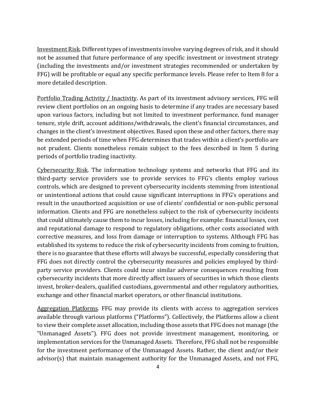Investment Risk. Different types of investments involve varying degrees of risk, and it should not be assumed that future performance of any specific investment or investment strategy (including the investments and/or investment strategies recommended or undertaken by FFG) will be profitable or equal any specific performance levels. Please refer to Item 8 for a more detailed description.

Portfolio Trading Activity / Inactivity. As part of its investment advisory services, FFG will review client portfolios on an ongoing basis to determine if any trades are necessary based upon various factors, including but not limited to investment performance, fund manager tenure, style drift, account additions/withdrawals, the client's financial circumstances, and changes in the client's investment objectives. Based upon these and other factors, there may be extended periods of time when FFG determines that trades within a client's portfolio are not prudent. Clients nonetheless remain subject to the fees described in Item 5 during periods of portfolio trading inactivity.

Cybersecurity Risk. The information technology systems and networks that FFG and its third-party service providers use to provide services to FFG's clients employ various controls, which are designed to prevent cybersecurity incidents stemming from intentional or unintentional actions that could cause significant interruptions in FFG's operations and result in the unauthorized acquisition or use of clients' confidential or non-public personal information. Clients and FFG are nonetheless subject to the risk of cybersecurity incidents that could ultimately cause them to incur losses, including for example: financial losses, cost and reputational damage to respond to regulatory obligations, other costs associated with corrective measures, and loss from damage or interruption to systems. Although FFG has established its systems to reduce the risk of cybersecurity incidents from coming to fruition, there is no guarantee that these efforts will always be successful, especially considering that FFG does not directly control the cybersecurity measures and policies employed by thirdparty service providers. Clients could incur similar adverse consequences resulting from cybersecurity incidents that more directly affect issuers of securities in which those clients invest, broker-dealers, qualified custodians, governmental and other regulatory authorities, exchange and other financial market operators, or other financial institutions.

Aggregation Platforms. FFG may provide its clients with access to aggregation services available through various platforms ("Platforms"). Collectively, the Platforms allow a client to view their complete asset allocation, including those assets that FFG does not manage (the "Unmanaged Assets"). FFG does not provide investment management, monitoring, or implementation services for the Unmanaged Assets. Therefore, FFG shall not be responsible for the investment performance of the Unmanaged Assets. Rather, the client and/or their advisor(s) that maintain management authority for the Unmanaged Assets, and not FFG,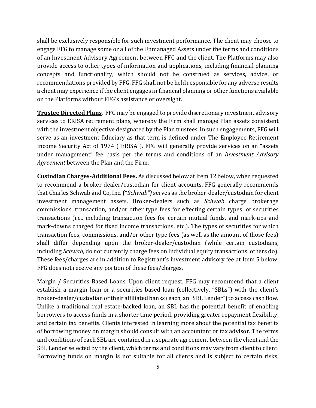shall be exclusively responsible for such investment performance. The client may choose to engage FFG to manage some or all of the Unmanaged Assets under the terms and conditions of an Investment Advisory Agreement between FFG and the client. The Platforms may also provide access to other types of information and applications, including financial planning concepts and functionality, which should not be construed as services, advice, or recommendations provided by FFG. FFG shall not be held responsible for any adverse results a client may experience if the client engages in financial planning or other functions available on the Platforms without FFG's assistance or oversight.

**Trustee Directed Plans**. FFG may be engaged to provide discretionary investment advisory services to ERISA retirement plans, whereby the Firm shall manage Plan assets consistent with the investment objective designated by the Plan trustees. In such engagements, FFG will serve as an investment fiduciary as that term is defined under The Employee Retirement Income Security Act of 1974 ("ERISA"). FFG will generally provide services on an "assets under management" fee basis per the terms and conditions of an *Investment Advisory Agreement* between the Plan and the Firm.

**Custodian Charges-Additional Fees.** As discussed below at Item 12 below, when requested to recommend a broker-dealer/custodian for client accounts, FFG generally recommends that Charles Schwab and Co, Inc. ("*Schwab")* serves as the broker-dealer/custodian for client investment management assets. Broker-dealers such as *Schwab* charge brokerage commissions, transaction, and/or other type fees for effecting certain types of securities transactions (i.e., including transaction fees for certain mutual funds, and mark-ups and mark-downs charged for fixed income transactions, etc.). The types of securities for which transaction fees, commissions, and/or other type fees (as well as the amount of those fees) shall differ depending upon the broker-dealer/custodian (while certain custodians, including *Schwab*, do not currently charge fees on individual equity transactions, others do). These fees/charges are in addition to Registrant's investment advisory fee at Item 5 below. FFG does not receive any portion of these fees/charges.

Margin / Securities Based Loans. Upon client request, FFG may recommend that a client establish a margin loan or a securities-based loan (collectively, "SBLs") with the client's broker-dealer/custodian or their affiliated banks (each, an "SBL Lender") to access cash flow. Unlike a traditional real estate-backed loan, an SBL has the potential benefit of enabling borrowers to access funds in a shorter time period, providing greater repayment flexibility, and certain tax benefits. Clients interested in learning more about the potential tax benefits of borrowing money on margin should consult with an accountant or tax advisor. The terms and conditions of each SBL are contained in a separate agreement between the client and the SBL Lender selected by the client, which terms and conditions may vary from client to client. Borrowing funds on margin is not suitable for all clients and is subject to certain risks,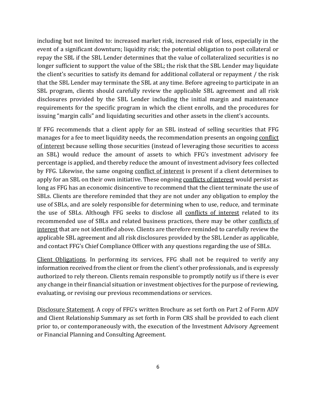including but not limited to: increased market risk, increased risk of loss, especially in the event of a significant downturn; liquidity risk; the potential obligation to post collateral or repay the SBL if the SBL Lender determines that the value of collateralized securities is no longer sufficient to support the value of the SBL; the risk that the SBL Lender may liquidate the client's securities to satisfy its demand for additional collateral or repayment / the risk that the SBL Lender may terminate the SBL at any time. Before agreeing to participate in an SBL program, clients should carefully review the applicable SBL agreement and all risk disclosures provided by the SBL Lender including the initial margin and maintenance requirements for the specific program in which the client enrolls, and the procedures for issuing "margin calls" and liquidating securities and other assets in the client's accounts.

If FFG recommends that a client apply for an SBL instead of selling securities that FFG manages for a fee to meet liquidity needs, the recommendation presents an ongoing conflict of interest because selling those securities (instead of leveraging those securities to access an SBL) would reduce the amount of assets to which FFG's investment advisory fee percentage is applied, and thereby reduce the amount of investment advisory fees collected by FFG. Likewise, the same ongoing conflict of interest is present if a client determines to apply for an SBL on their own initiative. These ongoing conflicts of interest would persist as long as FFG has an economic disincentive to recommend that the client terminate the use of SBLs. Clients are therefore reminded that they are not under any obligation to employ the use of SBLs, and are solely responsible for determining when to use, reduce, and terminate the use of SBLs. Although FFG seeks to disclose all conflicts of interest related to its recommended use of SBLs and related business practices, there may be other conflicts of interest that are not identified above. Clients are therefore reminded to carefully review the applicable SBL agreement and all risk disclosures provided by the SBL Lender as applicable, and contact FFG's Chief Compliance Officer with any questions regarding the use of SBLs.

Client Obligations. In performing its services, FFG shall not be required to verify any information received from the client or from the client's other professionals, and is expressly authorized to rely thereon. Clients remain responsible to promptly notify us if there is ever any change in their financial situation or investment objectives for the purpose of reviewing, evaluating, or revising our previous recommendations or services.

Disclosure Statement. A copy of FFG's written Brochure as set forth on Part 2 of Form ADV and Client Relationship Summary as set forth in Form CRS shall be provided to each client prior to, or contemporaneously with, the execution of the Investment Advisory Agreement or Financial Planning and Consulting Agreement.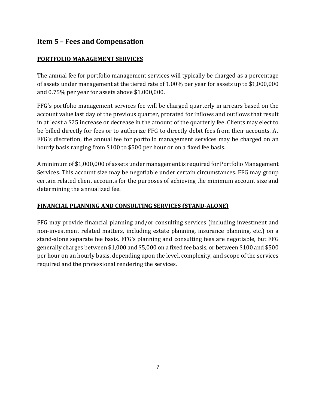# **Item 5 – Fees and Compensation**

## **PORTFOLIO MANAGEMENT SERVICES**

The annual fee for portfolio management services will typically be charged as a percentage of assets under management at the tiered rate of 1.00% per year for assets up to \$1,000,000 and 0.75% per year for assets above \$1,000,000.

FFG's portfolio management services fee will be charged quarterly in arrears based on the account value last day of the previous quarter, prorated for inflows and outflows that result in at least a \$25 increase or decrease in the amount of the quarterly fee. Clients may elect to be billed directly for fees or to authorize FFG to directly debit fees from their accounts. At FFG's discretion, the annual fee for portfolio management services may be charged on an hourly basis ranging from \$100 to \$500 per hour or on a fixed fee basis.

A minimum of \$1,000,000 of assets under management is required for Portfolio Management Services. This account size may be negotiable under certain circumstances. FFG may group certain related client accounts for the purposes of achieving the minimum account size and determining the annualized fee.

## **FINANCIAL PLANNING AND CONSULTING SERVICES (STAND-ALONE)**

FFG may provide financial planning and/or consulting services (including investment and non-investment related matters, including estate planning, insurance planning, etc.) on a stand-alone separate fee basis. FFG's planning and consulting fees are negotiable, but FFG generally charges between \$1,000 and \$5,000 on a fixed fee basis, or between \$100 and \$500 per hour on an hourly basis, depending upon the level, complexity, and scope of the services required and the professional rendering the services.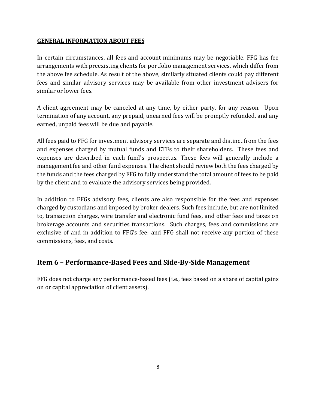#### **GENERAL INFORMATION ABOUT FEES**

In certain circumstances, all fees and account minimums may be negotiable. FFG has fee arrangements with preexisting clients for portfolio management services, which differ from the above fee schedule. As result of the above, similarly situated clients could pay different fees and similar advisory services may be available from other investment advisers for similar or lower fees.

A client agreement may be canceled at any time, by either party, for any reason. Upon termination of any account, any prepaid, unearned fees will be promptly refunded, and any earned, unpaid fees will be due and payable.

All fees paid to FFG for investment advisory services are separate and distinct from the fees and expenses charged by mutual funds and ETFs to their shareholders. These fees and expenses are described in each fund's prospectus. These fees will generally include a management fee and other fund expenses. The client should review both the fees charged by the funds and the fees charged by FFG to fully understand the total amount of fees to be paid by the client and to evaluate the advisory services being provided.

In addition to FFGs advisory fees, clients are also responsible for the fees and expenses charged by custodians and imposed by broker dealers. Such fees include, but are not limited to, transaction charges, wire transfer and electronic fund fees, and other fees and taxes on brokerage accounts and securities transactions. Such charges, fees and commissions are exclusive of and in addition to FFG's fee; and FFG shall not receive any portion of these commissions, fees, and costs.

## <span id="page-9-0"></span>**Item 6 – Performance-Based Fees and Side-By-Side Management**

<span id="page-9-1"></span>FFG does not charge any performance-based fees (i.e., fees based on a share of capital gains on or capital appreciation of client assets).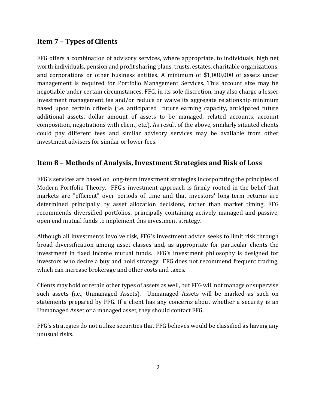# **Item 7 – Types of Clients**

FFG offers a combination of advisory services, where appropriate, to individuals, high net worth individuals, pension and profit sharing plans, trusts, estates, charitable organizations, and corporations or other business entities. A minimum of \$1,000,000 of assets under management is required for Portfolio Management Services. This account size may be negotiable under certain circumstances. FFG, in its sole discretion, may also charge a lesser investment management fee and/or reduce or waive its aggregate relationship minimum based upon certain criteria (i.e. anticipated future earning capacity, anticipated future additional assets, dollar amount of assets to be managed, related accounts, account composition, negotiations with client, etc.). As result of the above, similarly situated clients could pay different fees and similar advisory services may be available from other investment advisers for similar or lower fees.

## <span id="page-10-0"></span>**Item 8 – Methods of Analysis, Investment Strategies and Risk of Loss**

FFG's services are based on long-term investment strategies incorporating the principles of Modern Portfolio Theory. FFG's investment approach is firmly rooted in the belief that markets are "efficient" over periods of time and that investors' long-term returns are determined principally by asset allocation decisions, rather than market timing. FFG recommends diversified portfolios, principally containing actively managed and passive, open end mutual funds to implement this investment strategy.

Although all investments involve risk, FFG's investment advice seeks to limit risk through broad diversification among asset classes and, as appropriate for particular clients the investment in fixed income mutual funds. FFG's investment philosophy is designed for investors who desire a buy and hold strategy. FFG does not recommend frequent trading, which can increase brokerage and other costs and taxes.

Clients may hold or retain other types of assets as well, but FFG will not manage or supervise such assets (i.e., Unmanaged Assets). Unmanaged Assets will be marked as such on statements prepared by FFG. If a client has any concerns about whether a security is an Unmanaged Asset or a managed asset, they should contact FFG.

FFG's strategies do not utilize securities that FFG believes would be classified as having any unusual risks.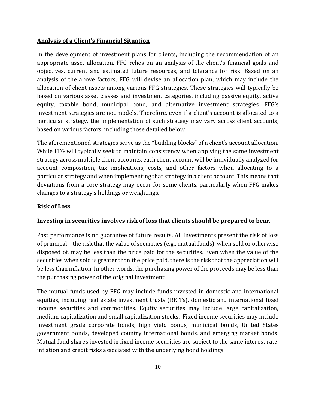### **Analysis of a Client's Financial Situation**

In the development of investment plans for clients, including the recommendation of an appropriate asset allocation, FFG relies on an analysis of the client's financial goals and objectives, current and estimated future resources, and tolerance for risk. Based on an analysis of the above factors, FFG will devise an allocation plan, which may include the allocation of client assets among various FFG strategies. These strategies will typically be based on various asset classes and investment categories, including passive equity, active equity, taxable bond, municipal bond, and alternative investment strategies. FFG's investment strategies are not models. Therefore, even if a client's account is allocated to a particular strategy, the implementation of such strategy may vary across client accounts, based on various factors, including those detailed below.

The aforementioned strategies serve as the "building blocks" of a client's account allocation. While FFG will typically seek to maintain consistency when applying the same investment strategy across multiple client accounts, each client account will be individually analyzed for account composition, tax implications, costs, and other factors when allocating to a particular strategy and when implementing that strategy in a client account. This means that deviations from a core strategy may occur for some clients, particularly when FFG makes changes to a strategy's holdings or weightings.

#### **Risk of Loss**

#### **Investing in securities involves risk of loss that clients should be prepared to bear.**

Past performance is no guarantee of future results. All investments present the risk of loss of principal – the risk that the value of securities (e.g., mutual funds), when sold or otherwise disposed of, may be less than the price paid for the securities. Even when the value of the securities when sold is greater than the price paid, there is the risk that the appreciation will be less than inflation. In other words, the purchasing power of the proceeds may be less than the purchasing power of the original investment.

The mutual funds used by FFG may include funds invested in domestic and international equities, including real estate investment trusts (REITs), domestic and international fixed income securities and commodities. Equity securities may include large capitalization, medium capitalization and small capitalization stocks. Fixed income securities may include investment grade corporate bonds, high yield bonds, municipal bonds, United States government bonds, developed country international bonds, and emerging market bonds. Mutual fund shares invested in fixed income securities are subject to the same interest rate, inflation and credit risks associated with the underlying bond holdings.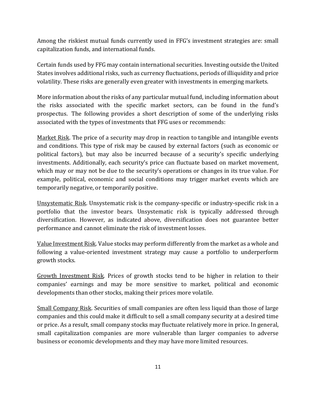Among the riskiest mutual funds currently used in FFG's investment strategies are: small capitalization funds, and international funds.

Certain funds used by FFG may contain international securities. Investing outside the United States involves additional risks, such as currency fluctuations, periods of illiquidity and price volatility. These risks are generally even greater with investments in emerging markets.

<span id="page-12-0"></span>More information about the risks of any particular mutual fund, including information about the risks associated with the specific market sectors, can be found in the fund's prospectus. The following provides a short description of some of the underlying risks associated with the types of investments that FFG uses or recommends:

Market Risk. The price of a security may drop in reaction to tangible and intangible events and conditions. This type of risk may be caused by external factors (such as economic or political factors), but may also be incurred because of a security's specific underlying investments. Additionally, each security's price can fluctuate based on market movement, which may or may not be due to the security's operations or changes in its true value. For example, political, economic and social conditions may trigger market events which are temporarily negative, or temporarily positive.

Unsystematic Risk. Unsystematic risk is the company-specific or industry-specific risk in a portfolio that the investor bears. Unsystematic risk is typically addressed through diversification. However, as indicated above, diversification does not guarantee better performance and cannot eliminate the risk of investment losses.

Value Investment Risk. Value stocks may perform differently from the market as a whole and following a value-oriented investment strategy may cause a portfolio to underperform growth stocks.

Growth Investment Risk. Prices of growth stocks tend to be higher in relation to their companies' earnings and may be more sensitive to market, political and economic developments than other stocks, making their prices more volatile.

Small Company Risk. Securities of small companies are often less liquid than those of large companies and this could make it difficult to sell a small company security at a desired time or price. As a result, small company stocks may fluctuate relatively more in price. In general, small capitalization companies are more vulnerable than larger companies to adverse business or economic developments and they may have more limited resources.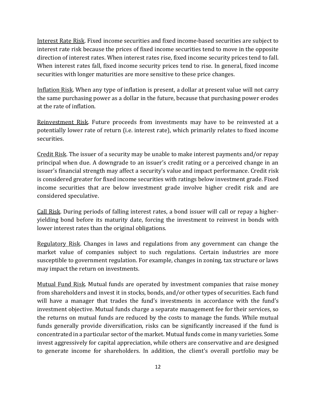Interest Rate Risk. Fixed income securities and fixed income-based securities are subject to interest rate risk because the prices of fixed income securities tend to move in the opposite direction of interest rates. When interest rates rise, fixed income security prices tend to fall. When interest rates fall, fixed income security prices tend to rise. In general, fixed income securities with longer maturities are more sensitive to these price changes.

Inflation Risk. When any type of inflation is present, a dollar at present value will not carry the same purchasing power as a dollar in the future, because that purchasing power erodes at the rate of inflation.

Reinvestment Risk. Future proceeds from investments may have to be reinvested at a potentially lower rate of return (i.e. interest rate), which primarily relates to fixed income securities.

Credit Risk. The issuer of a security may be unable to make interest payments and/or repay principal when due. A downgrade to an issuer's credit rating or a perceived change in an issuer's financial strength may affect a security's value and impact performance. Credit risk is considered greater for fixed income securities with ratings below investment grade. Fixed income securities that are below investment grade involve higher credit risk and are considered speculative.

Call Risk. During periods of falling interest rates, a bond issuer will call or repay a higheryielding bond before its maturity date, forcing the investment to reinvest in bonds with lower interest rates than the original obligations.

Regulatory Risk. Changes in laws and regulations from any government can change the market value of companies subject to such regulations. Certain industries are more susceptible to government regulation. For example, changes in zoning, tax structure or laws may impact the return on investments.

Mutual Fund Risk. Mutual funds are operated by investment companies that raise money from shareholders and invest it in stocks, bonds, and/or other types of securities. Each fund will have a manager that trades the fund's investments in accordance with the fund's investment objective. Mutual funds charge a separate management fee for their services, so the returns on mutual funds are reduced by the costs to manage the funds. While mutual funds generally provide diversification, risks can be significantly increased if the fund is concentrated in a particular sector of the market. Mutual funds come in many varieties. Some invest aggressively for capital appreciation, while others are conservative and are designed to generate income for shareholders. In addition, the client's overall portfolio may be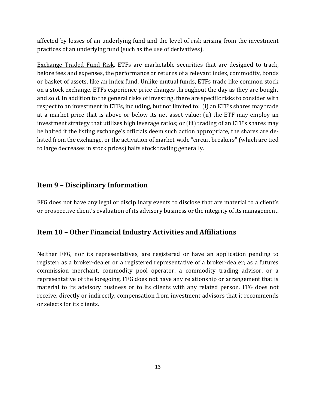affected by losses of an underlying fund and the level of risk arising from the investment practices of an underlying fund (such as the use of derivatives).

Exchange Traded Fund Risk. ETFs are marketable securities that are designed to track, before fees and expenses, the performance or returns of a relevant index, commodity, bonds or basket of assets, like an index fund. Unlike mutual funds, ETFs trade like common stock on a stock exchange. ETFs experience price changes throughout the day as they are bought and sold. In addition to the general risks of investing, there are specific risks to consider with respect to an investment in ETFs, including, but not limited to: (i) an ETF's shares may trade at a market price that is above or below its net asset value; (ii) the ETF may employ an investment strategy that utilizes high leverage ratios; or (iii) trading of an ETF's shares may be halted if the listing exchange's officials deem such action appropriate, the shares are delisted from the exchange, or the activation of market-wide "circuit breakers" (which are tied to large decreases in stock prices) halts stock trading generally.

## **Item 9 – Disciplinary Information**

<span id="page-14-0"></span>FFG does not have any legal or disciplinary events to disclose that are material to a client's or prospective client's evaluation of its advisory business or the integrity of its management.

## **Item 10 – Other Financial Industry Activities and Affiliations**

<span id="page-14-1"></span>Neither FFG, nor its representatives, are registered or have an application pending to register: as a broker-dealer or a registered representative of a broker-dealer; as a futures commission merchant, commodity pool operator, a commodity trading advisor, or a representative of the foregoing. FFG does not have any relationship or arrangement that is material to its advisory business or to its clients with any related person. FFG does not receive, directly or indirectly, compensation from investment advisors that it recommends or selects for its clients.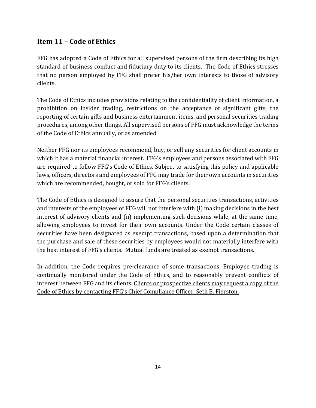# **Item 11 – Code of Ethics**

FFG has adopted a Code of Ethics for all supervised persons of the firm describing its high standard of business conduct and fiduciary duty to its clients. The Code of Ethics stresses that no person employed by FFG shall prefer his/her own interests to those of advisory clients.

The Code of Ethics includes provisions relating to the confidentiality of client information, a prohibition on insider trading, restrictions on the acceptance of significant gifts, the reporting of certain gifts and business entertainment items, and personal securities trading procedures, among other things. All supervised persons of FFG must acknowledge the terms of the Code of Ethics annually, or as amended.

Neither FFG nor its employees recommend, buy, or sell any securities for client accounts in which it has a material financial interest. FFG's employees and persons associated with FFG are required to follow FFG's Code of Ethics. Subject to satisfying this policy and applicable laws, officers, directors and employees of FFG may trade for their own accounts in securities which are recommended, bought, or sold for FFG's clients.

The Code of Ethics is designed to assure that the personal securities transactions, activities and interests of the employees of FFG will not interfere with (i) making decisions in the best interest of advisory clients and (ii) implementing such decisions while, at the same time, allowing employees to invest for their own accounts. Under the Code certain classes of securities have been designated as exempt transactions, based upon a determination that the purchase and sale of these securities by employees would not materially interfere with the best interest of FFG's clients. Mutual funds are treated as exempt transactions.

<span id="page-15-0"></span>In addition, the Code requires pre-clearance of some transactions. Employee trading is continually monitored under the Code of Ethics, and to reasonably prevent conflicts of interest between FFG and its clients. Clients or prospective clients may request a copy of the Code of Ethics by contacting FFG's Chief Compliance Officer, Seth B. Fierston.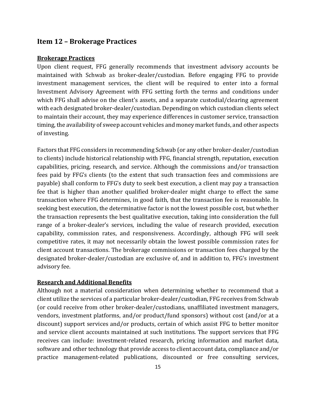### **Item 12 – Brokerage Practices**

#### **Brokerage Practices**

Upon client request, FFG generally recommends that investment advisory accounts be maintained with Schwab as broker-dealer/custodian. Before engaging FFG to provide investment management services, the client will be required to enter into a formal Investment Advisory Agreement with FFG setting forth the terms and conditions under which FFG shall advise on the client's assets, and a separate custodial/clearing agreement with each designated broker-dealer/custodian. Depending on which custodian clients select to maintain their account, they may experience differences in customer service, transaction timing, the availability of sweep account vehicles and money market funds, and other aspects of investing.

Factors that FFG considers in recommending Schwab (or any other broker-dealer/custodian to clients) include historical relationship with FFG, financial strength, reputation, execution capabilities, pricing, research, and service. Although the commissions and/or transaction fees paid by FFG's clients (to the extent that such transaction fees and commissions are payable) shall conform to FFG's duty to seek best execution, a client may pay a transaction fee that is higher than another qualified broker-dealer might charge to effect the same transaction where FFG determines, in good faith, that the transaction fee is reasonable. In seeking best execution, the determinative factor is not the lowest possible cost, but whether the transaction represents the best qualitative execution, taking into consideration the full range of a broker-dealer's services, including the value of research provided, execution capability, commission rates, and responsiveness. Accordingly, although FFG will seek competitive rates, it may not necessarily obtain the lowest possible commission rates for client account transactions. The brokerage commissions or transaction fees charged by the designated broker-dealer/custodian are exclusive of, and in addition to, FFG's investment advisory fee.

#### **Research and Additional Benefits**

Although not a material consideration when determining whether to recommend that a client utilize the services of a particular broker-dealer/custodian, FFG receives from Schwab (or could receive from other broker-dealer/custodians, unaffiliated investment managers, vendors, investment platforms, and/or product/fund sponsors) without cost (and/or at a discount) support services and/or products, certain of which assist FFG to better monitor and service client accounts maintained at such institutions. The support services that FFG receives can include: investment-related research, pricing information and market data, software and other technology that provide access to client account data, compliance and/or practice management-related publications, discounted or free consulting services,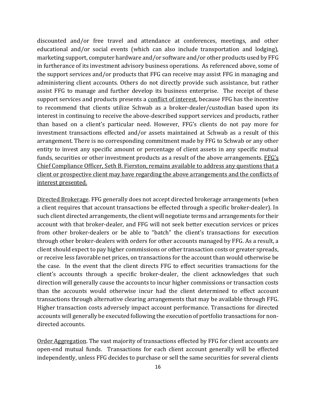discounted and/or free travel and attendance at conferences, meetings, and other educational and/or social events (which can also include transportation and lodging), marketing support, computer hardware and/or software and/or other products used by FFG in furtherance of its investment advisory business operations. As referenced above, some of the support services and/or products that FFG can receive may assist FFG in managing and administering client accounts. Others do not directly provide such assistance, but rather assist FFG to manage and further develop its business enterprise. The receipt of these support services and products presents a conflict of interest, because FFG has the incentive to recommend that clients utilize Schwab as a broker-dealer/custodian based upon its interest in continuing to receive the above-described support services and products, rather than based on a client's particular need. However, FFG's clients do not pay more for investment transactions effected and/or assets maintained at Schwab as a result of this arrangement. There is no corresponding commitment made by FFG to Schwab or any other entity to invest any specific amount or percentage of client assets in any specific mutual funds, securities or other investment products as a result of the above arrangements. FFG's Chief Compliance Officer, Seth B. Fierston, remains available to address any questions that a client or prospective client may have regarding the above arrangements and the conflicts of interest presented.

Directed Brokerage. FFG generally does not accept directed brokerage arrangements (when a client requires that account transactions be effected through a specific broker-dealer). In such client directed arrangements, the client will negotiate terms and arrangements for their account with that broker-dealer, and FFG will not seek better execution services or prices from other broker-dealers or be able to "batch" the client's transactions for execution through other broker-dealers with orders for other accounts managed by FFG. As a result, a client should expect to pay higher commissions or other transaction costs or greater spreads, or receive less favorable net prices, on transactions for the account than would otherwise be the case. In the event that the client directs FFG to effect securities transactions for the client's accounts through a specific broker-dealer, the client acknowledges that such direction will generally cause the accounts to incur higher commissions or transaction costs than the accounts would otherwise incur had the client determined to effect account transactions through alternative clearing arrangements that may be available through FFG. Higher transaction costs adversely impact account performance. Transactions for directed accounts will generally be executed following the execution of portfolio transactions for nondirected accounts.

Order Aggregation. The vast majority of transactions effected by FFG for client accounts are open-end mutual funds. Transactions for each client account generally will be effected independently, unless FFG decides to purchase or sell the same securities for several clients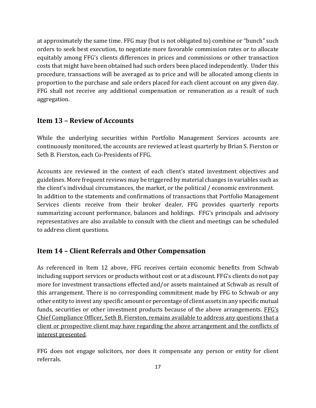at approximately the same time. FFG may (but is not obligated to) combine or "bunch" such orders to seek best execution, to negotiate more favorable commission rates or to allocate equitably among FFG's clients differences in prices and commissions or other transaction costs that might have been obtained had such orders been placed independently. Under this procedure, transactions will be averaged as to price and will be allocated among clients in proportion to the purchase and sale orders placed for each client account on any given day. FFG shall not receive any additional compensation or remuneration as a result of such aggregation.

## <span id="page-18-0"></span>**Item 13 – Review of Accounts**

While the underlying securities within Portfolio Management Services accounts are continuously monitored, the accounts are reviewed at least quarterly by Brian S. Fierston or Seth B. Fierston, each Co-Presidents of FFG.

Accounts are reviewed in the context of each client's stated investment objectives and guidelines. More frequent reviews may be triggered by material changes in variables such as the client's individual circumstances, the market, or the political / economic environment. In addition to the statements and confirmations of transactions that Portfolio Management Services clients receive from their broker dealer, FFG provides quarterly reports summarizing account performance, balances and holdings. FFG's principals and advisory representatives are also available to consult with the client and meetings can be scheduled to address client questions.

# <span id="page-18-1"></span>**Item 14 – Client Referrals and Other Compensation**

As referenced in Item 12 above, FFG receives certain economic benefits from Schwab including support services or products without cost or at a discount. FFG's clients do not pay more for investment transactions effected and/or assets maintained at Schwab as result of this arrangement. There is no corresponding commitment made by FFG to Schwab or any other entity to invest any specific amount or percentage of client assets in any specific mutual funds, securities or other investment products because of the above arrangements. FFG's Chief Compliance Officer, Seth B. Fierston, remains available to address any questions that a client or prospective client may have regarding the above arrangement and the conflicts of interest presented.

FFG does not engage solicitors, nor does it compensate any person or entity for client referrals.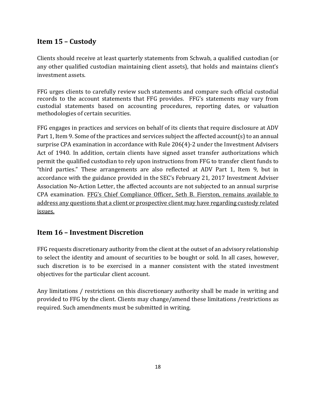# <span id="page-19-0"></span>**Item 15 – Custody**

Clients should receive at least quarterly statements from Schwab, a qualified custodian (or any other qualified custodian maintaining client assets), that holds and maintains client's investment assets.

FFG urges clients to carefully review such statements and compare such official custodial records to the account statements that FFG provides. FFG's statements may vary from custodial statements based on accounting procedures, reporting dates, or valuation methodologies of certain securities.

FFG engages in practices and services on behalf of its clients that require disclosure at ADV Part 1, Item 9. Some of the practices and services subject the affected account(s) to an annual surprise CPA examination in accordance with Rule 206(4)-2 under the Investment Advisers Act of 1940. In addition, certain clients have signed asset transfer authorizations which permit the qualified custodian to rely upon instructions from FFG to transfer client funds to "third parties." These arrangements are also reflected at ADV Part 1, Item 9, but in accordance with the guidance provided in the SEC's February 21, 2017 Investment Adviser Association No-Action Letter, the affected accounts are not subjected to an annual surprise CPA examination. FFG's Chief Compliance Officer, Seth B. Fierston, remains available to address any questions that a client or prospective client may have regarding custody related issues.

## <span id="page-19-1"></span>**Item 16 – Investment Discretion**

FFG requests discretionary authority from the client at the outset of an advisory relationship to select the identity and amount of securities to be bought or sold. In all cases, however, such discretion is to be exercised in a manner consistent with the stated investment objectives for the particular client account.

<span id="page-19-2"></span>Any limitations / restrictions on this discretionary authority shall be made in writing and provided to FFG by the client. Clients may change/amend these limitations /restrictions as required. Such amendments must be submitted in writing.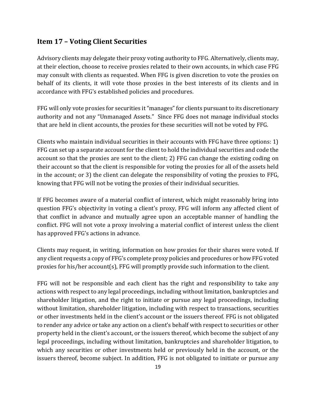## **Item 17 – Voting Client Securities**

Advisory clients may delegate their proxy voting authority to FFG. Alternatively, clients may, at their election, choose to receive proxies related to their own accounts, in which case FFG may consult with clients as requested. When FFG is given discretion to vote the proxies on behalf of its clients, it will vote those proxies in the best interests of its clients and in accordance with FFG's established policies and procedures.

FFG will only vote proxies for securities it "manages" for clients pursuant to its discretionary authority and not any "Unmanaged Assets." Since FFG does not manage individual stocks that are held in client accounts, the proxies for these securities will not be voted by FFG.

Clients who maintain individual securities in their accounts with FFG have three options: 1) FFG can set up a separate account for the client to hold the individual securities and code the account so that the proxies are sent to the client; 2) FFG can change the existing coding on their account so that the client is responsible for voting the proxies for all of the assets held in the account; or 3) the client can delegate the responsibility of voting the proxies to FFG, knowing that FFG will not be voting the proxies of their individual securities.

If FFG becomes aware of a material conflict of interest, which might reasonably bring into question FFG's objectivity in voting a client's proxy, FFG will inform any affected client of that conflict in advance and mutually agree upon an acceptable manner of handling the conflict. FFG will not vote a proxy involving a material conflict of interest unless the client has approved FFG's actions in advance.

Clients may request, in writing, information on how proxies for their shares were voted. If any client requests a copy of FFG's complete proxy policies and procedures or how FFG voted proxies for his/her account(s), FFG will promptly provide such information to the client.

FFG will not be responsible and each client has the right and responsibility to take any actions with respect to any legal proceedings, including without limitation, bankruptcies and shareholder litigation, and the right to initiate or pursue any legal proceedings, including without limitation, shareholder litigation, including with respect to transactions, securities or other investments held in the client's account or the issuers thereof. FFG is not obligated to render any advice or take any action on a client's behalf with respect to securities or other property held in the client's account, or the issuers thereof, which become the subject of any legal proceedings, including without limitation, bankruptcies and shareholder litigation, to which any securities or other investments held or previously held in the account, or the issuers thereof, become subject. In addition, FFG is not obligated to initiate or pursue any